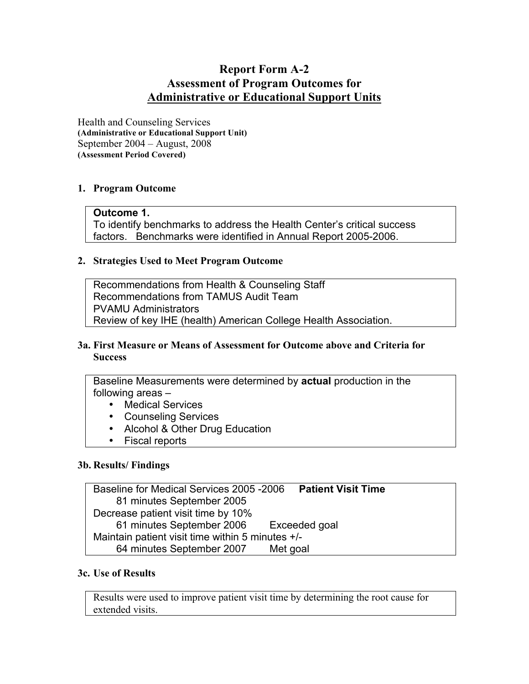# **Report Form A-2 Assessment of Program Outcomes for Administrative or Educational Support Units**

Health and Counseling Services **(Administrative or Educational Support Unit)** September 2004 – August, 2008 **(Assessment Period Covered)**

## **1. Program Outcome**

## **Outcome 1.**

To identify benchmarks to address the Health Center's critical success factors. Benchmarks were identified in Annual Report 2005-2006.

#### **2. Strategies Used to Meet Program Outcome**

Recommendations from Health & Counseling Staff Recommendations from TAMUS Audit Team PVAMU Administrators Review of key IHE (health) American College Health Association.

#### **3a. First Measure or Means of Assessment for Outcome above and Criteria for Success**

Baseline Measurements were determined by **actual** production in the following areas –

- Medical Services
- Counseling Services
- Alcohol & Other Drug Education
- Fiscal reports

#### **3b. Results/ Findings**

Baseline for Medical Services 2005 -2006 **Patient Visit Time** 81 minutes September 2005 Decrease patient visit time by 10% 61 minutes September 2006 Exceeded goal Maintain patient visit time within 5 minutes +/- 64 minutes September 2007 Met goal

#### **3c. Use of Results**

Results were used to improve patient visit time by determining the root cause for extended visits.